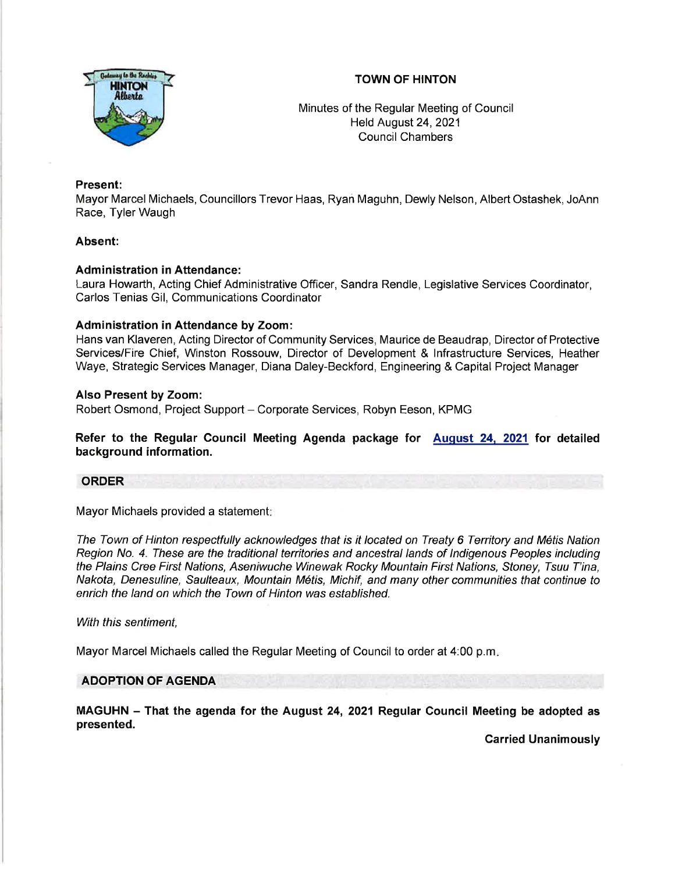

# TOWN OF HINTON

Minutes of the Regular Meeting of Council Held August24,2021 Council Chambers

## Present:

Mayor Marcel Michaels, Councillors Trevor Haas, Ryan Maguhn, Dewly Nelson, Albert Ostashek, JoAnn Race, Tyler Waugh

## Absent:

## Administration in Attendance:

Laura Howarth, Acting Chief Administrative Officer, Sandra Rendle, Legislative Services Coordinator, Carlos Tenias Gil, Communications Coordinator

## Administration in Attendance by Zoom:

Hans van Klaveren, Acting Director of Community Services, Maurice de Beaudrap, Director of Protective Services/Fire Chief, Winston Rossouw, Director of Development & lnfrastructure Services, Heather Waye, Strategic Services Manager, Diana Daley-Beckford, Engineering & Capital Project Manager

## Also Present by Zoom:

Robert Osmond, Project Support - Corporate Services, Robyn Eeson, KPMG

Refer to the Regular Council Meeting Agenda package for Auqust 24. 2021 for detailed background information.

## ORDER

Mayor Michaels provided a statement:

The Town of Hinton respectfully acknowledges that is it located on Treaty 6 Territory and Métis Nation Region No. 4. These are the traditional territories and ancestral lands of Indigenous Peoples including the Plains Cree First Nations, Aseniwuche Winewak Rocky Mountain First Nations, Stoney, Tsuu T'ina, Nakota, Denesuline, Saulteaux, Mountain Mdtis, Michif, and many other communities that continue to enrich the land on which the Town of Hinton was established.

With this sentiment,

Mayor Marcel Michaels called the Regular Meeting of Council to order at 4:00 p.m

## ADOPTION OF AGENDA

MAGUHN - That the agenda for the August 24, 2021 Regular Gouncil Meeting be adopted as presented.

Carried Unanimously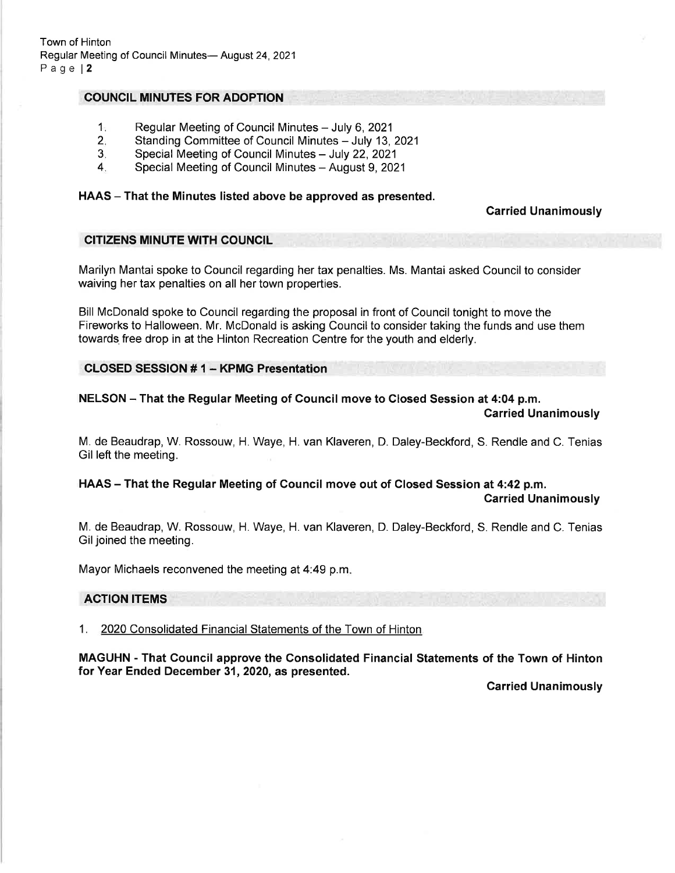# COUNCIL MINUTES FOR ADOPTION

- Regular Meeting of Council Minutes July 6, 2021  $1<sub>i</sub>$
- Standing Committee of Council Minutes July 13, 2021  $2.$
- Special Meeting of Council Minutes July 22, 2021 3
- Special Meeting of Council Minutes August 9, 2021 4

#### HAAS - That the Minutes listed above be approved as presented.

Carried Unanimously

#### CITIZENS MINUTE WITH COUNCIL

Marilyn Mantai spoke to Council regarding her tax penalties. Ms. Mantai asked Council to consider waiving her tax penalties on all her town properties.

Bill McDonald spoke to Council regarding the proposal in front of Council tonight to move the Fireworks to Halloween. Mr. McDonald is asking Council to consider taking the funds and use them towards free drop in at the Hinton Recreation Centre for the youth and elderly.

## CLOSED SESSION # 1 - KPMG Presentation

NELSON - That the Regular Meeting of Council move to Closed Session at 4:04 p.m. Carried Unanimously

M. de Beaudrap, W. Rossouw, H. Waye, H. van Klaveren, D. Daley-Beckford, S. Rendle and C. Tenias Gil left the meeting.

HAAS - That the Regular Meeting of Council move out of Closed Session at 4:42 p.m.

Carried Unanimously

M. de Beaudrap, W. Rossouw, H. Waye, H. van Klaveren, D. Daley-Beckford, S. Rendle and C. Tenias Gil joined the meeting.

Mayor Michaels reconvened the meeting at 4:49 p.m

#### ACTION ITEMS

1. 2020 Consolidated Financial Statements of the Town of Hinton

MAGUHN - That Gouncil approve the Gonsolidated Financial Statements of the Town of Hinton for Year Ended December 31, 2020, as presented.

Carried Unanimously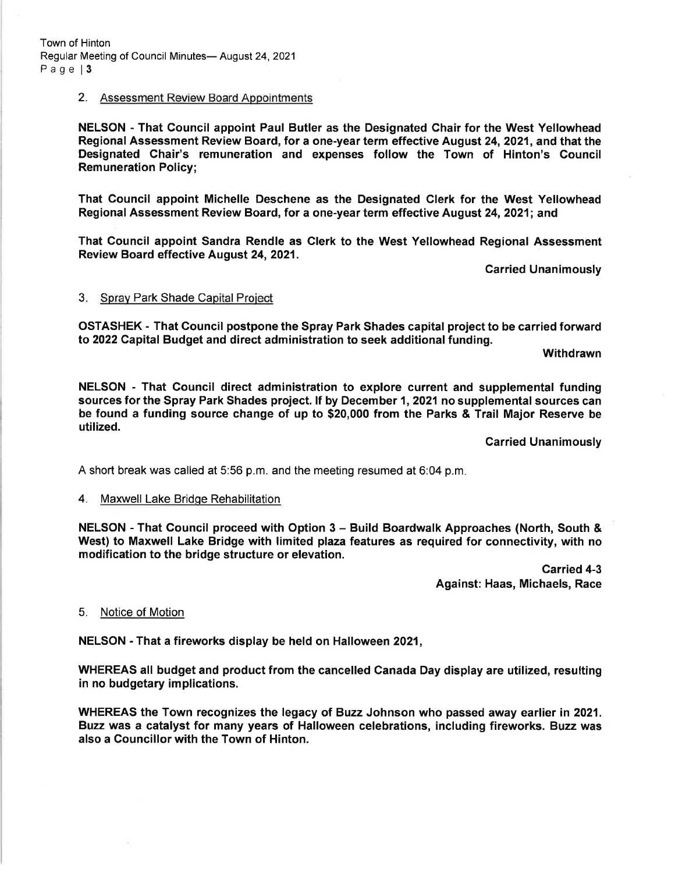Town of Hinton Regular Meeting of Council Minutes- August 24, 2021 Page | 3

#### 2. Assessment Review Board Appointments

NELSON - That Council appoint Paul Butler as the Designated Chair for the West Yellowhead Regional Assessment Review Board, for a one-year term effective August 24,2021, and that the Designated Chair's remuneration and expenses follow the Town of Hinton's Council Remuneration Policy;

That Council appoint Michelle Deschene as the Designated Clerk for the West Yellowhead Regional Assessment Review Board, for a one-year term effective August 24,2021; and

That Council appoint Sandra Rendle as Clerk to the West Yellowhead Regional Assessment Review Board effective August 24, 2021.

Carried Unanimously

#### 3. Spray Park Shade Capital Project

OSTASHEK - That Gouncil postpone the Spray Park Shades capital project to be carried forward to 2022 Capital Budget and direct administration to seek additional funding.

**Withdrawn** 

NELSON - That Council direct administration to explore current and supplemental funding sources for the Spray Park Shades project. If by December 1, 2021 no supplemental sources can be found a funding source change of up to \$20,000 from the Parks & Trail Major Reserve be utilized.

Garried Unanimously

A short break was called at 5:56 p.m. and the meeting resumed at 6:04 p.m

## 4. Maxwell Lake Bridge Rehabilitation

NELSON - That Council proceed with Option 3 - Build Boardwalk Approaches (North, South & West) to Maxwell Lake Bridge with limited plaza features as required for connectivity, with no modification to the bridge structure or elevation.

> Carried 4-3 Against: Haas, Michaels, Race

## 5. Notice of Motion

NELSON - That a fireworks display be held on Halloween 2021,

WHEREAS all budget and product from the cancelled Canada Day display are utilized, resulting in no budgetary implications.

WHEREAS the Town recognizes the legacy of Buzz Johnson who passed away earlier in 2021. Buzz was a catalyst for many years of Halloween celebrations, including fireworks. Buzz was also a Councillor with the Town of Hinton.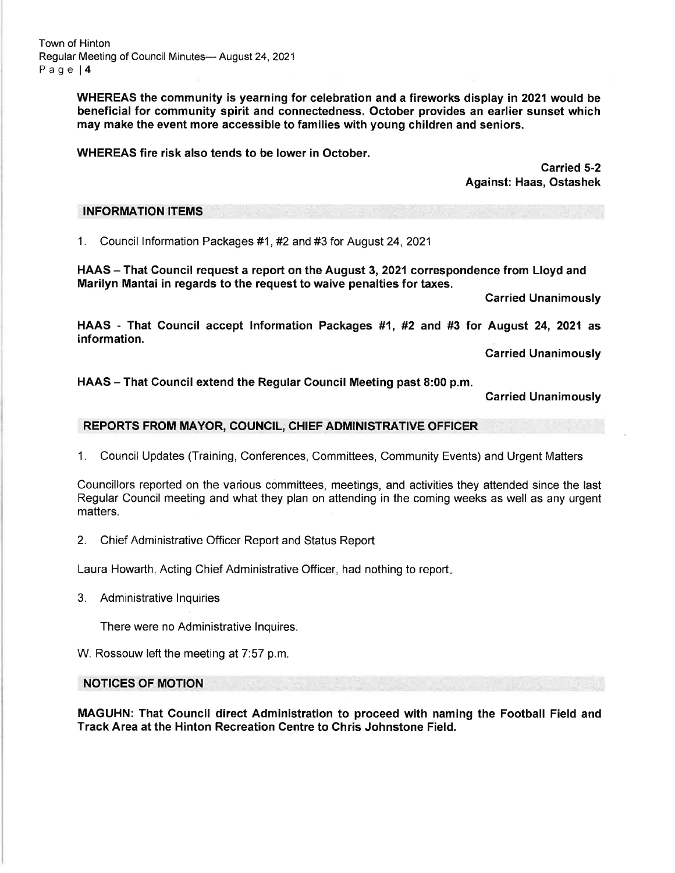Town of Hinton Regular Meeting of Council Minutes- August 24, 2021 Page l4

> WHEREAS the community is yearning for celebration and a fireworks display in 2021would be beneficial for community spirit and connectedness. October provides an earlier sunset which may make the event more accessible to families with young children and seniors.

WHEREAS fire risk also tends to be lower in October.

Carried 5-2 Against: Haas, Ostashek

#### INFORMATION ITEMS

<sup>1</sup>. Council lnformation Packages #1 , #2 and #3 for August 24, <sup>2021</sup>

HAAS – That Council request a report on the August 3, 2021 correspondence from Lloyd and Marilyn Mantai in regards to the request to waive penalties for taxes.

Carried Unanimously

HAAS - That Council accept Information Packages #1, #2 and #3 for August 24, 2021 as<br>information.

**Carried Unanimously** 

HAAS - That Council extend the Regular Council Meeting past 8:00 p.m.

Garried Unanimously

## REPORTS FROM MAYOR, COUNCIL, CHIEF ADMINISTRATIVE OFFICER

1. Council Updates (Training, Conferences, Committees, Community Events) and Urgent Matters

Councillors reported on the various committees, meetings, and activities they attended since the last Regular Council meeting and what they plan on attending in the coming weeks as well as any urgent matters.

2. Chief Administrative Officer Report and Status Report

Laura Howarth, Acting Chief Administrative Officer, had nothing to report

3. Administrative Inquiries

There were no Administrative lnquires.

W. Rossouw left the meeting at 7:57 p.m.

NOTICES OF MOTION

MAGUHN: That Council direct Administration to proceed with naming the Football Field and Track Area at the Hinton Recreation Gentre to Chris Johnstone Field.